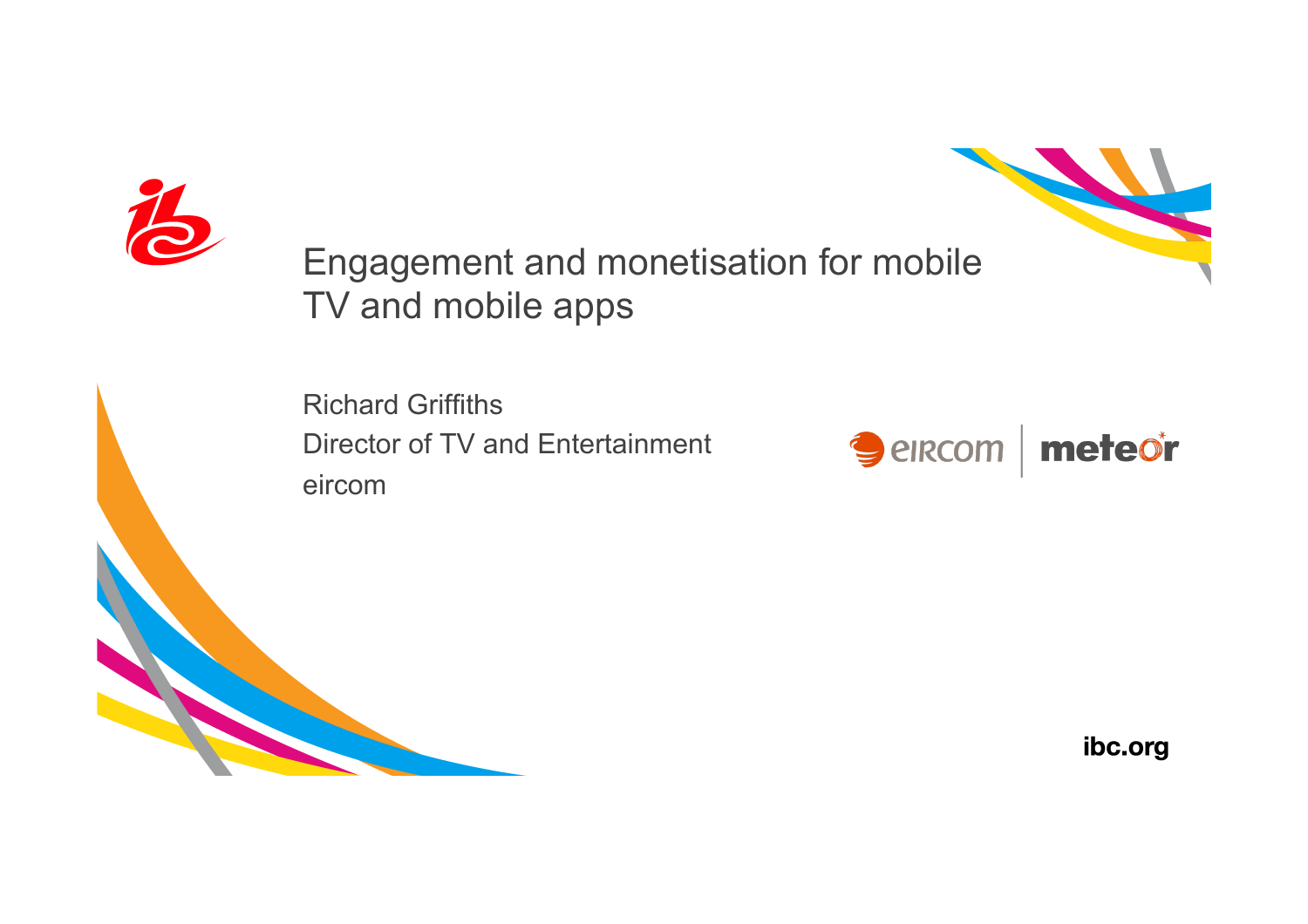



Engagement and monetisation for mobile TV and mobile apps

Richard Griffiths Director of TV and Entertainment eircom

Seircom | meteor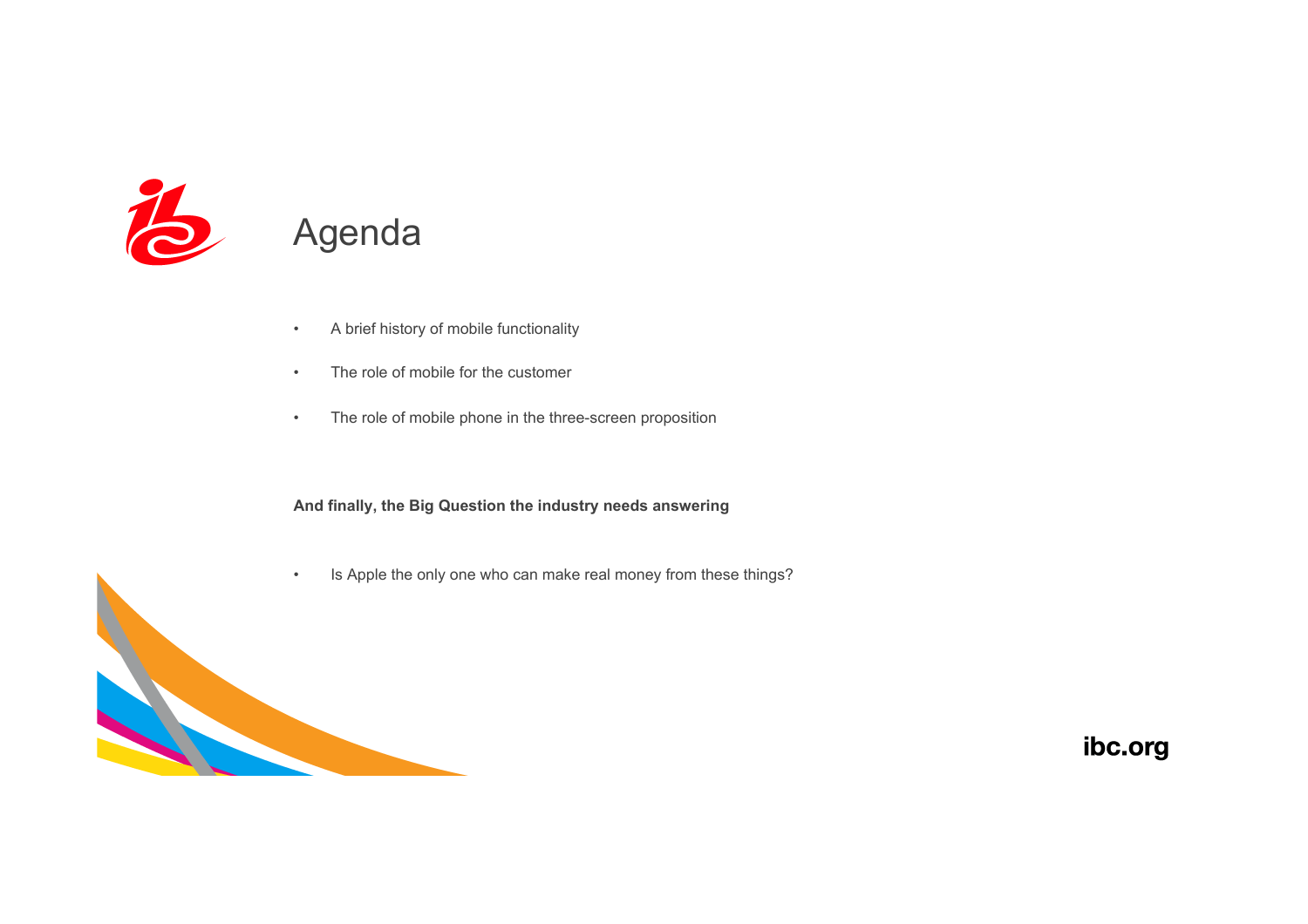

### Agenda

- A brief history of mobile functionality
- The role of mobile for the customer
- The role of mobile phone in the three-screen proposition

**And finally, the Big Question the industry needs answering** 

• Is Apple the only one who can make real money from these things?

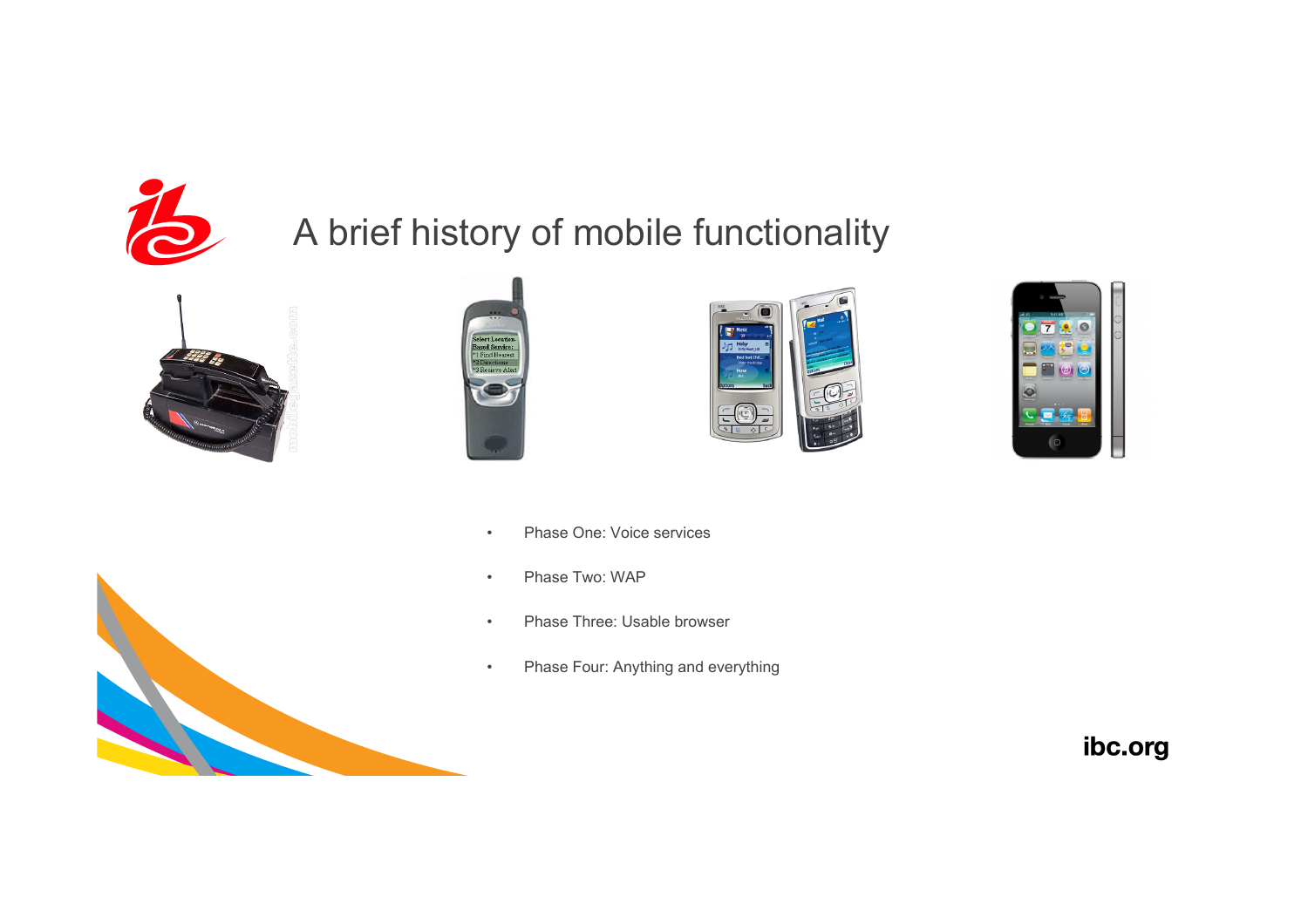

# A brief history of mobile functionality











- Phase One: Voice services
- Phase Two: WAP
- Phase Three: Usable browser
- Phase Four: Anything and everything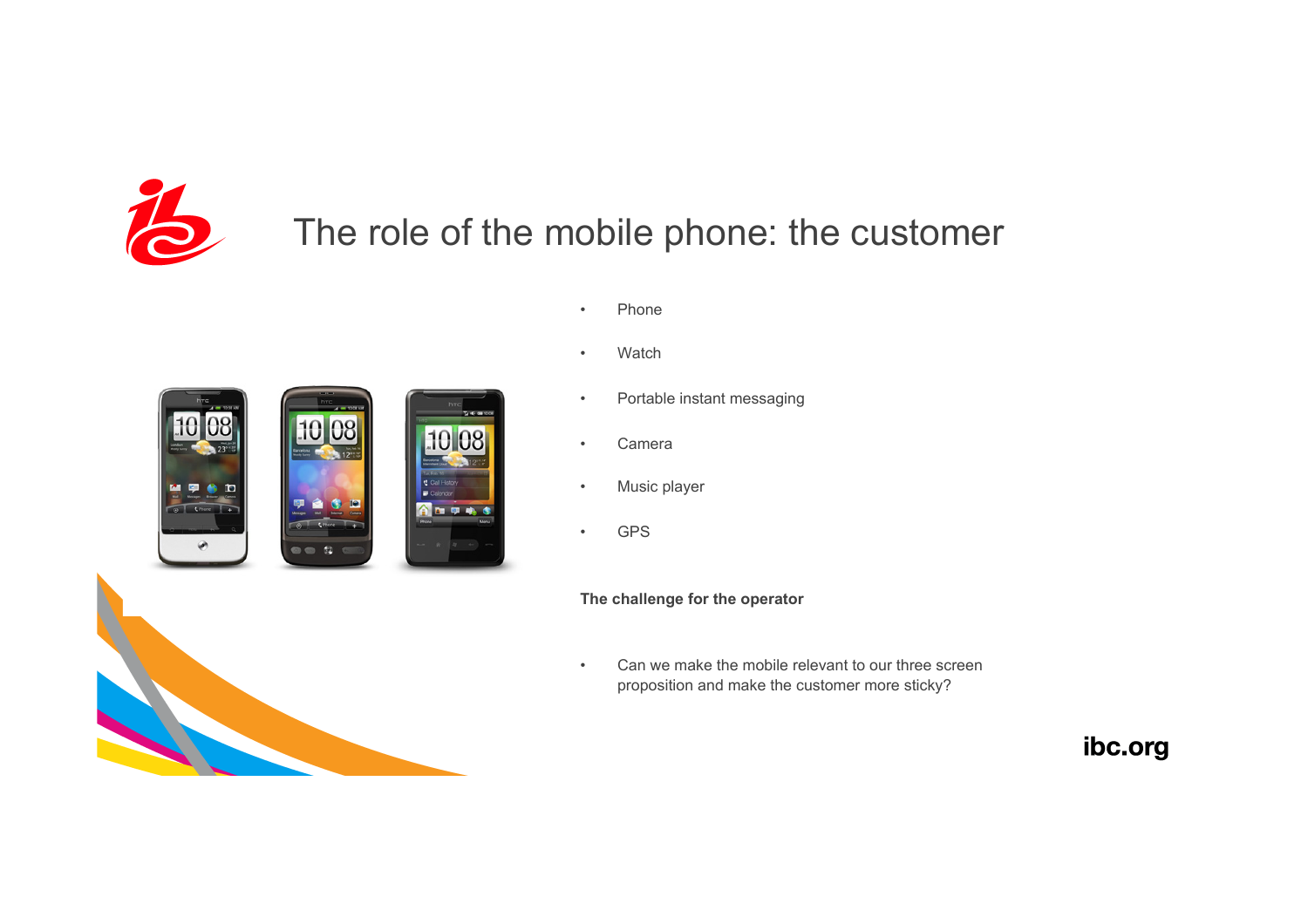

# The role of the mobile phone: the customer

• Phone



- Watch
- Portable instant messaging
- Camera
- Music player
- GPS

**The challenge for the operator** 

• Can we make the mobile relevant to our three screen proposition and make the customer more sticky?



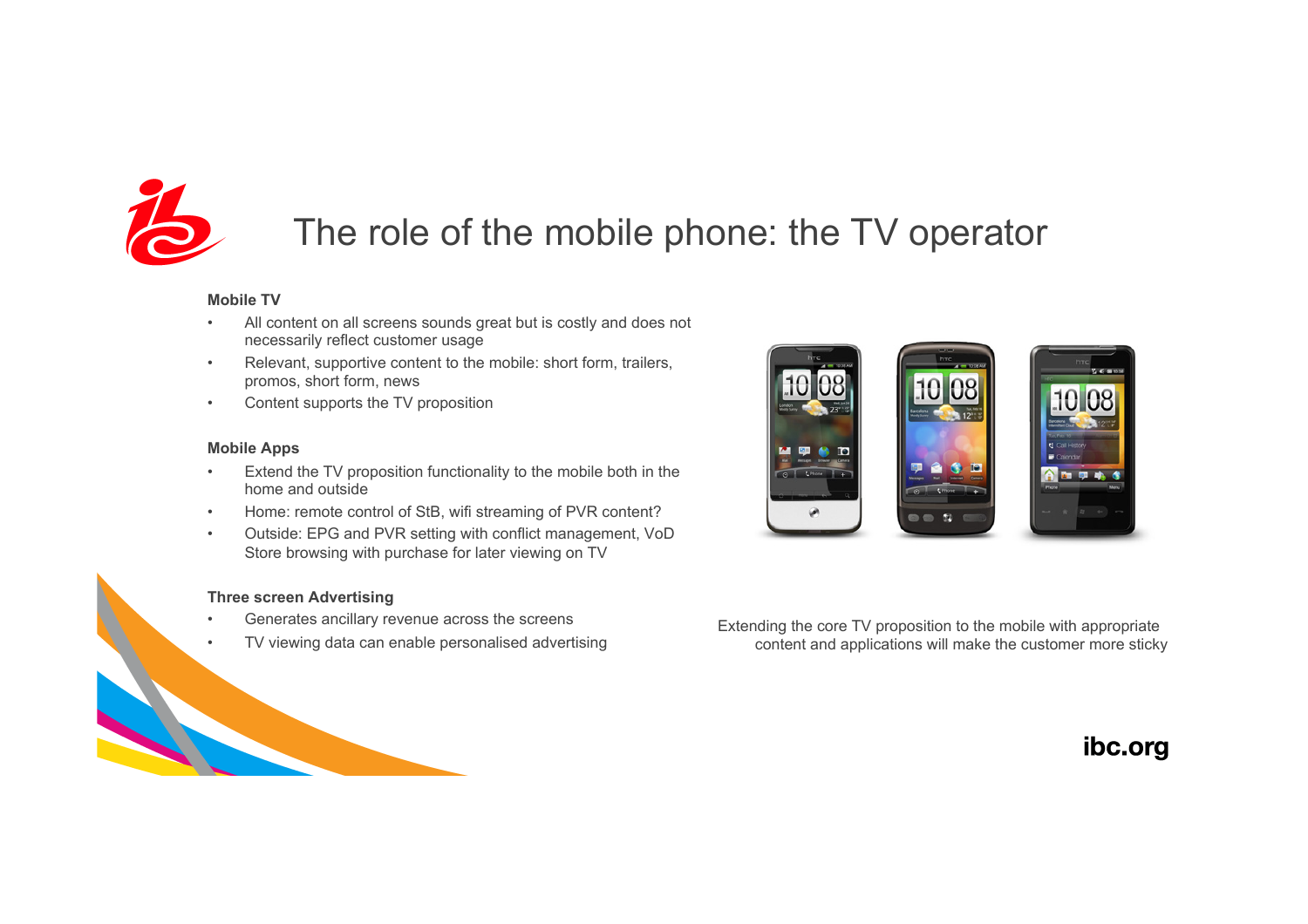

## The role of the mobile phone: the TV operator

#### **Mobile TV**

- All content on all screens sounds great but is costly and does not necessarily reflect customer usage
- Relevant, supportive content to the mobile: short form, trailers, promos, short form, news
- Content supports the TV proposition

#### **Mobile Apps**

- Extend the TV proposition functionality to the mobile both in the home and outside
- Home: remote control of StB, wifi streaming of PVR content?
- Outside: EPG and PVR setting with conflict management, VoD Store browsing with purchase for later viewing on TV

#### **Three screen Advertising**

- Generates ancillary revenue across the screens
- TV viewing data can enable personalised advertising



Extending the core TV proposition to the mobile with appropriate content and applications will make the customer more sticky